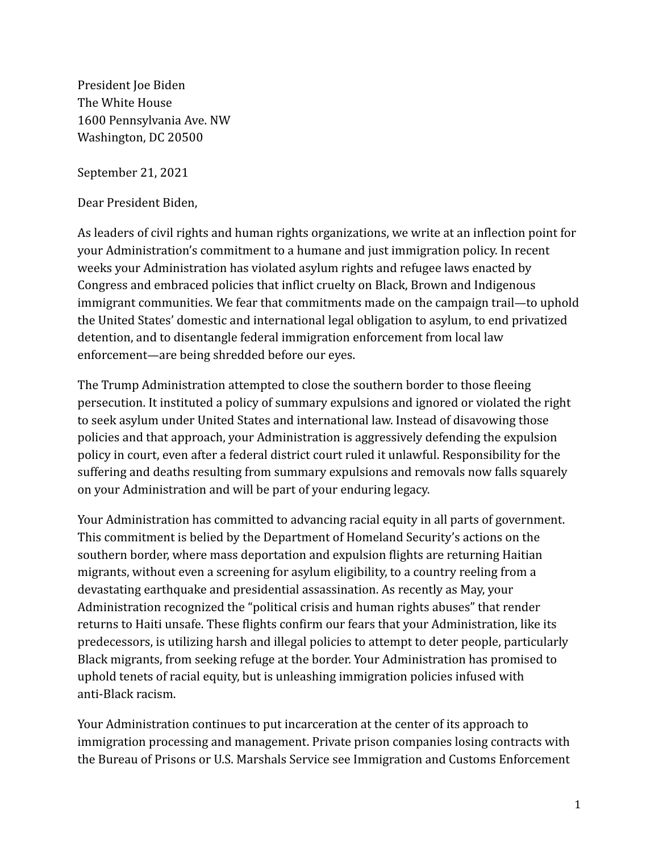President Joe Biden The White House 1600 Pennsylvania Ave. NW Washington, DC 20500

September 21, 2021

Dear President Biden,

As leaders of civil rights and human rights organizations, we write at an inflection point for your Administration's commitment to a humane and just immigration policy. In recent weeks your Administration has violated asylum rights and refugee laws enacted by Congress and embraced policies that inflict cruelty on Black, Brown and Indigenous immigrant communities. We fear that commitments made on the campaign trail—to uphold the United States' domestic and international legal obligation to asylum, to end privatized detention, and to disentangle federal immigration enforcement from local law enforcement—are being shredded before our eyes.

The Trump Administration attempted to close the southern border to those fleeing persecution. It instituted a policy of summary expulsions and ignored or violated the right to seek asylum under United States and international law. Instead of disavowing those policies and that approach, your Administration is aggressively defending the expulsion policy in court, even after a federal district court ruled it unlawful. Responsibility for the suffering and deaths resulting from summary expulsions and removals now falls squarely on your Administration and will be part of your enduring legacy.

Your Administration has committed to advancing racial equity in all parts of government. This commitment is belied by the Department of Homeland Security's actions on the southern border, where mass deportation and expulsion flights are returning Haitian migrants, without even a screening for asylum eligibility, to a country reeling from a devastating earthquake and presidential assassination. As recently as May, your Administration recognized the "political crisis and human rights abuses" that render returns to Haiti unsafe. These flights confirm our fears that your Administration, like its predecessors, is utilizing harsh and illegal policies to attempt to deter people, particularly Black migrants, from seeking refuge at the border. Your Administration has promised to uphold tenets of racial equity, but is unleashing immigration policies infused with anti-Black racism.

Your Administration continues to put incarceration at the center of its approach to immigration processing and management. Private prison companies losing contracts with the Bureau of Prisons or U.S. Marshals Service see Immigration and Customs Enforcement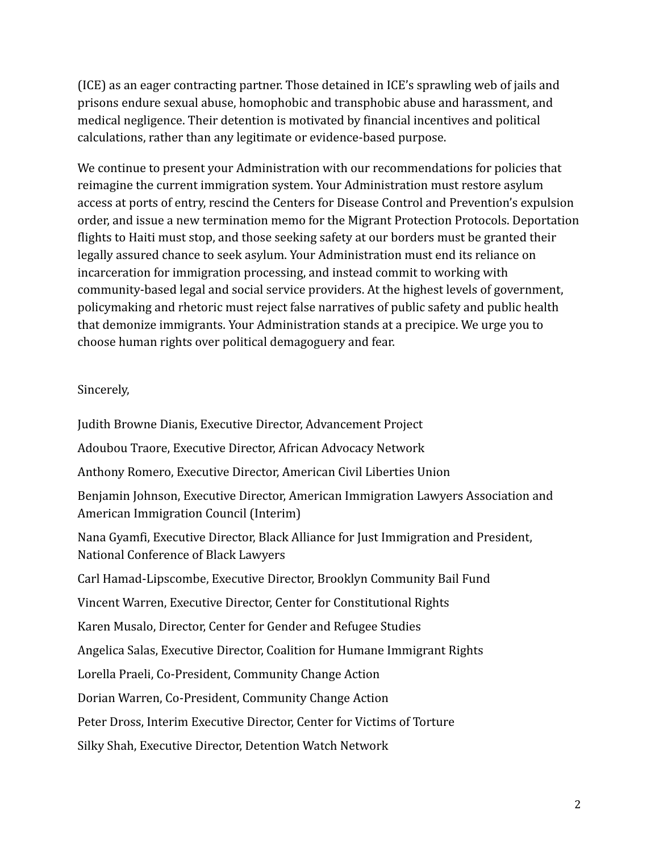(ICE) as an eager contracting partner. Those detained in ICE's sprawling web of jails and prisons endure sexual abuse, homophobic and transphobic abuse and harassment, and medical negligence. Their detention is motivated by financial incentives and political calculations, rather than any legitimate or evidence-based purpose.

We continue to present your Administration with our recommendations for policies that reimagine the current immigration system. Your Administration must restore asylum access at ports of entry, rescind the Centers for Disease Control and Prevention's expulsion order, and issue a new termination memo for the Migrant Protection Protocols. Deportation flights to Haiti must stop, and those seeking safety at our borders must be granted their legally assured chance to seek asylum. Your Administration must end its reliance on incarceration for immigration processing, and instead commit to working with community-based legal and social service providers. At the highest levels of government, policymaking and rhetoric must reject false narratives of public safety and public health that demonize immigrants. Your Administration stands at a precipice. We urge you to choose human rights over political demagoguery and fear.

## Sincerely,

Judith Browne Dianis, Executive Director, Advancement Project Adoubou Traore, Executive Director, African Advocacy Network Anthony Romero, Executive Director, American Civil Liberties Union Benjamin Johnson, Executive Director, American Immigration Lawyers Association and American Immigration Council (Interim) Nana Gyamfi, Executive Director, Black Alliance for Just Immigration and President, National Conference of Black Lawyers Carl Hamad-Lipscombe, Executive Director, Brooklyn Community Bail Fund Vincent Warren, Executive Director, Center for Constitutional Rights Karen Musalo, Director, Center for Gender and Refugee Studies Angelica Salas, Executive Director, Coalition for Humane Immigrant Rights Lorella Praeli, Co-President, Community Change Action Dorian Warren, Co-President, Community Change Action Peter Dross, Interim Executive Director, Center for Victims of Torture Silky Shah, Executive Director, Detention Watch Network